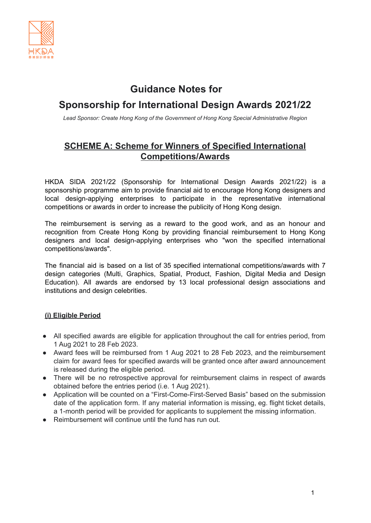

# **Guidance Notes for**

# **Sponsorship for International Design Awards 2021/22**

*Lead Sponsor: Create Hong Kong of the Government of Hong Kong Special Administrative Region*

## **SCHEME A: Scheme for Winners of Specified International Competitions/Awards**

HKDA SIDA 2021/22 (Sponsorship for International Design Awards 2021/22) is a sponsorship programme aim to provide financial aid to encourage Hong Kong designers and local design-applying enterprises to participate in the representative international competitions or awards in order to increase the publicity of Hong Kong design.

The reimbursement is serving as a reward to the good work, and as an honour and recognition from Create Hong Kong by providing financial reimbursement to Hong Kong designers and local design-applying enterprises who "won the specified international competitions/awards".

The financial aid is based on a list of 35 specified international competitions/awards with 7 design categories (Multi, Graphics, Spatial, Product, Fashion, Digital Media and Design Education). All awards are endorsed by 13 local professional design associations and institutions and design celebrities.

### **(i) Eligible Period**

- All specified awards are eligible for application throughout the call for entries period, from 1 Aug 2021 to 28 Feb 2023.
- Award fees will be reimbursed from 1 Aug 2021 to 28 Feb 2023, and the reimbursement claim for award fees for specified awards will be granted once after award announcement is released during the eligible period.
- There will be no retrospective approval for reimbursement claims in respect of awards obtained before the entries period (i.e. 1 Aug 2021).
- Application will be counted on a "First-Come-First-Served Basis" based on the submission date of the application form. If any material information is missing, eg. flight ticket details, a 1-month period will be provided for applicants to supplement the missing information.
- Reimbursement will continue until the fund has run out.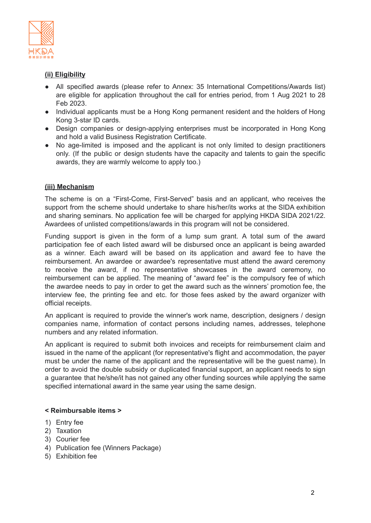

## **(ii) Eligibility**

- All specified awards (please refer to Annex: 35 International Competitions/Awards list) are eligible for application throughout the call for entries period, from 1 Aug 2021 to 28 Feb 2023.
- Individual applicants must be a Hong Kong permanent resident and the holders of Hong Kong 3-star ID cards.
- Design companies or design-applying enterprises must be incorporated in Hong Kong and hold a valid Business Registration Certificate.
- No age-limited is imposed and the applicant is not only limited to design practitioners only. (If the public or design students have the capacity and talents to gain the specific awards, they are warmly welcome to apply too.)

### **(iii) Mechanism**

The scheme is on a "First-Come, First-Served" basis and an applicant, who receives the support from the scheme should undertake to share his/her/its works at the SIDA exhibition and sharing seminars. No application fee will be charged for applying HKDA SIDA 2021/22. Awardees of unlisted competitions/awards in this program will not be considered.

Funding support is given in the form of a lump sum grant. A total sum of the award participation fee of each listed award will be disbursed once an applicant is being awarded as a winner. Each award will be based on its application and award fee to have the reimbursement. An awardee or awardee's representative must attend the award ceremony to receive the award, if no representative showcases in the award ceremony, no reimbursement can be applied. The meaning of "award fee" is the compulsory fee of which the awardee needs to pay in order to get the award such as the winners' promotion fee, the interview fee, the printing fee and etc. for those fees asked by the award organizer with official receipts.

An applicant is required to provide the winner's work name, description, designers / design companies name, information of contact persons including names, addresses, telephone numbers and any related information.

An applicant is required to submit both invoices and receipts for reimbursement claim and issued in the name of the applicant (for representative's flight and accommodation, the payer must be under the name of the applicant and the representative will be the guest name). In order to avoid the double subsidy or duplicated financial support, an applicant needs to sign a guarantee that he/she/it has not gained any other funding sources while applying the same specified international award in the same year using the same design.

#### **< Reimbursable items >**

- 1) Entry fee
- 2) Taxation
- 3) Courier fee
- 4) Publication fee (Winners Package)
- 5) Exhibition fee